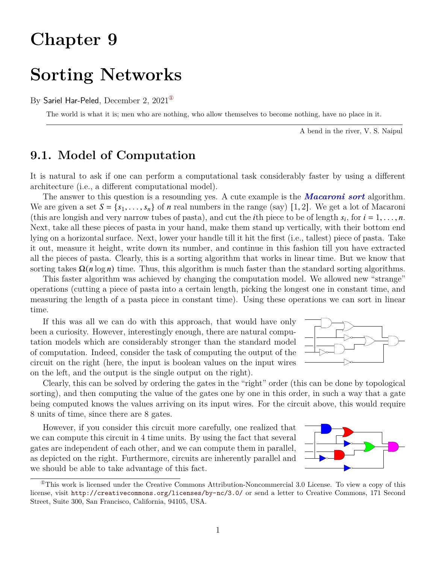# **Chapter 9**

## **Sorting Networks**

#### By Sariel Har-Peled, December 2,  $2021^{\circ}$

The world is what it is; men who are nothing, who allow themselves to become nothing, have no place in it.

A bend in the river, V. S. Naipul

## **9.1. Model of Computation**

It is natural to ask if one can perform a computational task considerably faster by using a different architecture (i.e., a different computational model).

The answer to this question is a resounding yes. A cute example is the *Macaroni sort* algorithm. We are given a set  $S = \{s_1, \ldots, s_n\}$  of *n* real numbers in the range (say) [1, 2]. We get a lot of Macaroni (this are longish and very narrow tubes of pasta), and cut the *i*th piece to be of length  $s_i$ , for  $i = 1, \ldots, n$ . Next, take all these pieces of pasta in your hand, make them stand up vertically, with their bottom end lying on a horizontal surface. Next, lower your handle till it hit the first (i.e., tallest) piece of pasta. Take it out, measure it height, write down its number, and continue in this fashion till you have extracted all the pieces of pasta. Clearly, this is a sorting algorithm that works in linear time. But we know that sorting takes  $\Omega(n \log n)$  time. Thus, this algorithm is much faster than the standard sorting algorithms.

This faster algorithm was achieved by changing the computation model. We allowed new "strange" operations (cutting a piece of pasta into a certain length, picking the longest one in constant time, and measuring the length of a pasta piece in constant time). Using these operations we can sort in linear time.

If this was all we can do with this approach, that would have only been a curiosity. However, interestingly enough, there are natural computation models which are considerably stronger than the standard model of computation. Indeed, consider the task of computing the output of the circuit on the right (here, the input is boolean values on the input wires on the left, and the output is the single output on the right).



Clearly, this can be solved by ordering the gates in the "right" order (this can be done by topological sorting), and then computing the value of the gates one by one in this order, in such a way that a gate being computed knows the values arriving on its input wires. For the circuit above, this would require 8 units of time, since there are 8 gates.

However, if you consider this circuit more carefully, one realized that we can compute this circuit in 4 time units. By using the fact that several gates are independent of each other, and we can compute them in parallel, as depicted on the right. Furthermore, circuits are inherently parallel and we should be able to take advantage of this fact.



<span id="page-0-0"></span> $^{\circ}$ This work is licensed under the Creative Commons Attribution-Noncommercial 3.0 License. To view a copy of this license, visit <http://creativecommons.org/licenses/by-nc/3.0/> or send a letter to Creative Commons, 171 Second Street, Suite 300, San Francisco, California, 94105, USA.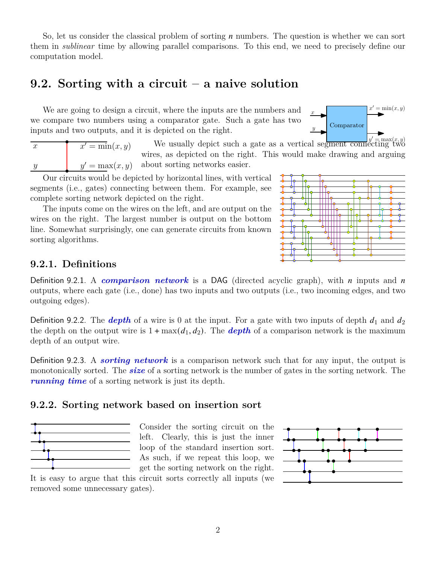So, let us consider the classical problem of sorting  $n$  numbers. The question is whether we can sort them in *sublinear* time by allowing parallel comparisons. To this end, we need to precisely define our computation model.

## **9.2. Sorting with a circuit – a naive solution**

We are going to design a circuit, where the inputs are the numbers and we compare two numbers using a comparator gate. Such a gate has two inputs and two outputs, and it is depicted on the right.



| ŦЕ | $\overline{x'} = \min(x, y)$ |
|----|------------------------------|
|    | $y' = \max(x, y)$            |

We usually depict such a gate as a vertical segment connecting two wires, as depicted on the right. This would make drawing and arguing about sorting networks easier.

Our circuits would be depicted by horizontal lines, with vertical segments (i.e., gates) connecting between them. For example, see complete sorting network depicted on the right.

The inputs come on the wires on the left, and are output on the wires on the right. The largest number is output on the bottom line. Somewhat surprisingly, one can generate circuits from known sorting algorithms.



#### **9.2.1. Definitions**

Definition 9.2.1. A *comparison network* is a DAG (directed acyclic graph), with *n* inputs and *n* outputs, where each gate (i.e., done) has two inputs and two outputs (i.e., two incoming edges, and two outgoing edges).

Definition 9.2.2. The *depth* of a wire is 0 at the input. For a gate with two inputs of depth  $d_1$  and  $d_2$ the depth on the output wire is  $1 + \max(d_1, d_2)$ . The **depth** of a comparison network is the maximum depth of an output wire.

Definition 9.2.3. A *sorting network* is a comparison network such that for any input, the output is monotonically sorted. The *size* of a sorting network is the number of gates in the sorting network. The *running time* of a sorting network is just its depth.

#### **9.2.2. Sorting network based on insertion sort**



Consider the sorting circuit on the left. Clearly, this is just the inner loop of the standard insertion sort. As such, if we repeat this loop, we get the sorting network on the right.

It is easy to argue that this circuit sorts correctly all inputs (we removed some unnecessary gates).

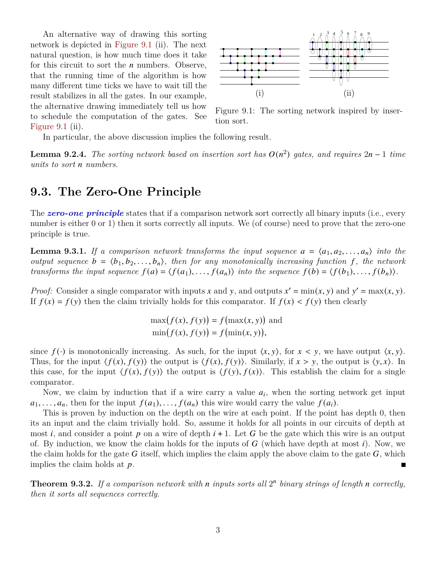An alternative way of drawing this sorting network is depicted in [Figure 9.1](#page-2-0) (ii). The next natural question, is how much time does it take for this circuit to sort the  $n$  numbers. Observe, that the running time of the algorithm is how many different time ticks we have to wait till the result stabilizes in all the gates. In our example, the alternative drawing immediately tell us how to schedule the computation of the gates. See [Figure 9.1](#page-2-0) (ii).



<span id="page-2-0"></span>Figure 9.1: The sorting network inspired by insertion sort.

In particular, the above discussion implies the following result.

**Lemma 9.2.4.** *The sorting network based on insertion sort has*  $O(n^2)$  gates, and requires  $2n - 1$  time *units to sort numbers.*

### **9.3. The Zero-One Principle**

The **zero-one principle** states that if a comparison network sort correctly all binary inputs (i.e., every number is either 0 or 1) then it sorts correctly all inputs. We (of course) need to prove that the zero-one principle is true.

<span id="page-2-1"></span>**Lemma 9.3.1.** If a comparison network transforms the input sequence  $a = \langle a_1, a_2, \ldots, a_n \rangle$  into the *output sequence*  $b = \langle b_1, b_2, \ldots, b_n \rangle$ , then for any monotonically increasing function f, the network *transforms the input sequence*  $f(a) = \langle f(a_1), \ldots, f(a_n) \rangle$  *into the sequence*  $f(b) = \langle f(b_1), \ldots, f(b_n) \rangle$ .

*Proof:* Consider a single comparator with inputs x and y, and outputs  $x' = min(x, y)$  and  $y' = max(x, y)$ . If  $f(x) = f(y)$  then the claim trivially holds for this comparator. If  $f(x) < f(y)$  then clearly

$$
\max(f(x), f(y)) = f(\max(x, y))
$$
 and  

$$
\min(f(x), f(y)) = f(\min(x, y)),
$$

since  $f(\cdot)$  is monotonically increasing. As such, for the input  $\langle x, y \rangle$ , for  $x < y$ , we have output  $\langle x, y \rangle$ . Thus, for the input  $\langle f(x), f(y) \rangle$  the output is  $\langle f(x), f(y) \rangle$ . Similarly, if  $x > y$ , the output is  $\langle y, x \rangle$ . In this case, for the input  $\langle f(x), f(y) \rangle$  the output is  $\langle f(y), f(x) \rangle$ . This establish the claim for a single comparator.

Now, we claim by induction that if a wire carry a value  $a_i$ , when the sorting network get input  $a_1, \ldots, a_n$ , then for the input  $f(a_1), \ldots, f(a_n)$  this wire would carry the value  $f(a_i)$ .

This is proven by induction on the depth on the wire at each point. If the point has depth 0, then its an input and the claim trivially hold. So, assume it holds for all points in our circuits of depth at most *i*, and consider a point  $p$  on a wire of depth  $i + 1$ . Let G be the gate which this wire is an output of. By induction, we know the claim holds for the inputs of  $G$  (which have depth at most i). Now, we the claim holds for the gate G itself, which implies the claim apply the above claim to the gate  $G$ , which implies the claim holds at  $p$ .  $\blacksquare$ 

**Theorem 9.3.2.** If a comparison network with n inputs sorts all  $2^n$  binary strings of length n correctly, *then it sorts all sequences correctly.*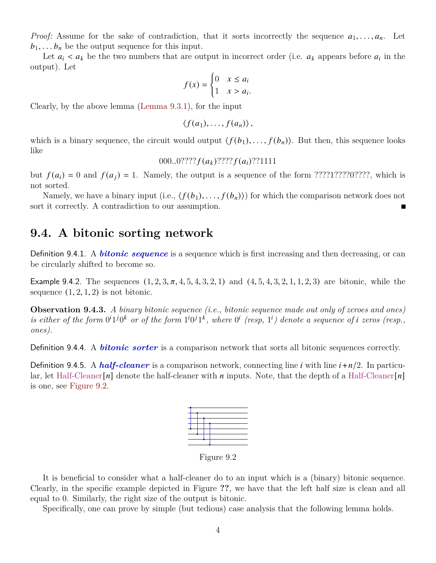*Proof:* Assume for the sake of contradiction, that it sorts incorrectly the sequence  $a_1, \ldots, a_n$ . Let  $b_1, \ldots, b_n$  be the output sequence for this input.

Let  $a_i < a_k$  be the two numbers that are output in incorrect order (i.e.  $a_k$  appears before  $a_i$  in the output). Let

$$
f(x) = \begin{cases} 0 & x \le a_i \\ 1 & x > a_i \end{cases}
$$

.

Clearly, by the above lemma [\(Lemma 9.3.1\)](#page-2-1), for the input

$$
\langle f(a_1),\ldots,f(a_n)\rangle\,,
$$

which is a binary sequence, the circuit would output  $\langle f(b_1), \ldots, f(b_n) \rangle$ . But then, this sequence looks like

$$
000..0?????f(a_k)????f(a_i)??1111
$$

but  $f(a_i) = 0$  and  $f(a_j) = 1$ . Namely, the output is a sequence of the form ????1????0????, which is not sorted.

Namely, we have a binary input (i.e.,  $\langle f(b_1), \ldots, f(b_n) \rangle$ ) for which the comparison network does not sort it correctly. A contradiction to our assumption.

#### **9.4. A bitonic sorting network**

Definition 9.4.1. A *bitonic sequence* is a sequence which is first increasing and then decreasing, or can be circularly shifted to become so.

Example 9.4.2. The sequences  $(1, 2, 3, \pi, 4, 5, 4, 3, 2, 1)$  and  $(4, 5, 4, 3, 2, 1, 1, 2, 3)$  are bitonic, while the sequence  $(1, 2, 1, 2)$  is not bitonic.

**Observation 9.4.3.** *A binary bitonic sequence (i.e., bitonic sequence made out only of zeroes and ones)* is either of the form  $0^i1^j0^k$  or of the form  $1^i0^j1^k$ , where  $0^i$  (resp,  $1^i$ ) denote a sequence of *i* zeros (resp., *ones).*

Definition 9.4.4. A *bitonic sorter* is a comparison network that sorts all bitonic sequences correctly.

<span id="page-3-0"></span>Definition 9.4.5. A *half-cleaner* is a comparison network, connecting line *i* with line  $i + n/2$ . In particular, let Half-Cleaner  $[n]$  denote the half-cleaner with n inputs. Note, that the depth of a Half-Cleaner  $[n]$ is one, see [Figure 9.2.](#page-3-0)



Figure 9.2

It is beneficial to consider what a half-cleaner do to an input which is a (binary) bitonic sequence. Clearly, in the specific example depicted in Figure **??**, we have that the left half size is clean and all equal to 0. Similarly, the right size of the output is bitonic.

Specifically, one can prove by simple (but tedious) case analysis that the following lemma holds.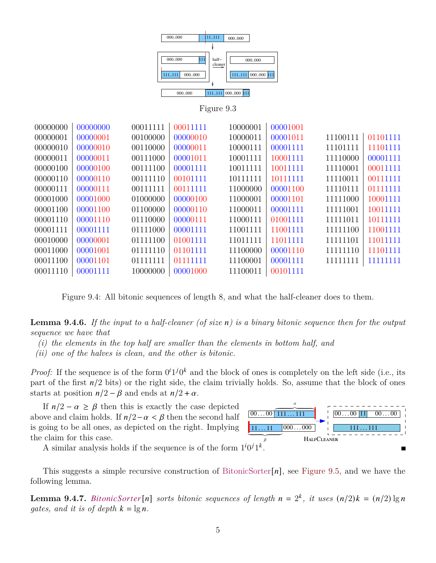

Figure 9.3

| 00000000 | 00000000 | 00011111 | 00011111 | 10000001 | 00001001 |          |          |
|----------|----------|----------|----------|----------|----------|----------|----------|
| 00000001 | 00000001 | 00100000 | 00000010 | 10000011 | 00001011 | 11100111 | 01101111 |
| 00000010 | 00000010 | 00110000 | 00000011 | 10000111 | 00001111 | 11101111 | 11101111 |
| 00000011 | 00000011 | 00111000 | 00001011 | 10001111 | 10001111 | 11110000 | 00001111 |
| 00000100 | 00000100 | 00111100 | 00001111 | 10011111 | 10011111 | 11110001 | 00011111 |
| 00000110 | 00000110 | 00111110 | 00101111 | 10111111 | 10111111 | 11110011 | 00111111 |
| 00000111 | 00000111 | 00111111 | 00111111 | 11000000 | 00001100 | 11110111 | 01111111 |
| 00001000 | 00001000 | 01000000 | 00000100 | 11000001 | 00001101 | 11111000 | 10001111 |
| 00001100 | 00001100 | 01100000 | 00000110 | 11000011 | 00001111 | 11111001 | 10011111 |
| 00001110 | 00001110 | 01110000 | 00000111 | 11000111 | 01001111 | 11111011 | 10111111 |
| 00001111 | 00001111 | 01111000 | 00001111 | 11001111 | 11001111 | 11111100 | 11001111 |
| 00010000 | 00000001 | 01111100 | 01001111 | 11011111 | 11011111 | 11111101 | 11011111 |
| 00011000 | 00001001 | 01111110 | 01101111 | 11100000 | 00001110 | 11111110 | 11101111 |
| 00011100 | 00001101 | 01111111 | 01111111 | 11100001 | 00001111 | 11111111 | 11111111 |
| 00011110 | 00001111 | 10000000 | 00001000 | 11100011 | 00101111 |          |          |
|          |          |          |          |          |          |          |          |

Figure 9.4: All bitonic sequences of length 8, and what the half-cleaner does to them.

**Lemma 9.4.6.** *If the input to a half-cleaner (of size ) is a binary bitonic sequence then for the output sequence we have that*

- *(i) the elements in the top half are smaller than the elements in bottom half, and*
- *(ii) one of the halves is clean, and the other is bitonic.*

*Proof:* If the sequence is of the form  $0^i1^j0^k$  and the block of ones is completely on the left side (i.e., its part of the first  $n/2$  bits) or the right side, the claim trivially holds. So, assume that the block of ones starts at position  $n/2 - \beta$  and ends at  $n/2 + \alpha$ .

If  $n/2 - \alpha \geq \beta$  then this is exactly the case depicted above and claim holds. If  $n/2 - \alpha < \beta$  then the second half is going to be all ones, as depicted on the right. Implying the claim for this case.



A similar analysis holds if the sequence is of the form  $1^i0^j1^k$ .

This suggests a simple recursive construction of BitonicSorter $[n]$ , see [Figure 9.5,](#page-5-0) and we have the following lemma.

**Lemma 9.4.7.** BitonicSorter [n] sorts bitonic sequences of length  $n = 2<sup>k</sup>$ , it uses  $(n/2)k = (n/2) \lg n$ *gates, and it is of depth*  $k = \lg n$ .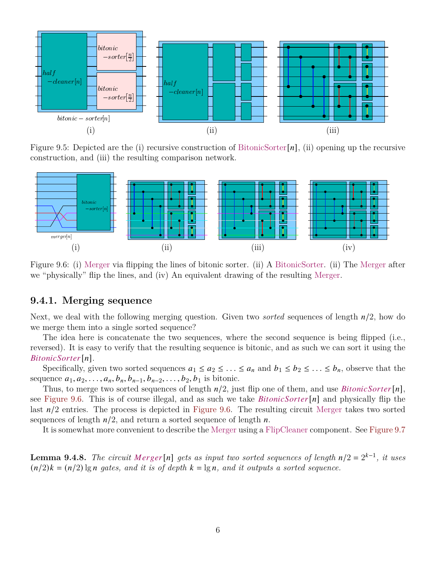<span id="page-5-0"></span>

Figure 9.5: Depicted are the (i) recursive construction of BitonicSorter $[n]$ , (ii) opening up the recursive construction, and (iii) the resulting comparison network.

<span id="page-5-1"></span>

Figure 9.6: (i) Merger via flipping the lines of bitonic sorter. (ii) A BitonicSorter. (ii) The Merger after we "physically" flip the lines, and (iv) An equivalent drawing of the resulting Merger.

#### **9.4.1. Merging sequence**

Next, we deal with the following merging question. Given two *sorted* sequences of length  $n/2$ , how do we merge them into a single sorted sequence?

The idea here is concatenate the two sequences, where the second sequence is being flipped (i.e., reversed). It is easy to verify that the resulting sequence is bitonic, and as such we can sort it using the *BitonicSorter[n].* 

Specifically, given two sorted sequences  $a_1 \le a_2 \le \ldots \le a_n$  and  $b_1 \le b_2 \le \ldots \le b_n$ , observe that the sequence  $a_1, a_2, \ldots, a_n, b_n, b_{n-1}, b_{n-2}, \ldots, b_2, b_1$  is bitonic.

Thus, to merge two sorted sequences of length  $n/2$ , just flip one of them, and use *BitonicSorter* [n], see [Figure 9.6.](#page-5-1) This is of course illegal, and as such we take  $BitonicSorter[n]$  and physically flip the last  $n/2$  entries. The process is depicted in [Figure 9.6.](#page-5-1) The resulting circuit Merger takes two sorted sequences of length  $n/2$ , and return a sorted sequence of length n.

It is somewhat more convenient to describe the Merger using a FlipCleaner component. See [Figure 9.7](#page-6-0)

**Lemma 9.4.8.** The circuit Merger [n] gets as input two sorted sequences of length  $n/2 = 2^{k-1}$ , it uses  $(n/2)k = (n/2)$  lg *n* gates, and it is of depth  $k = \lg n$ , and it outputs a sorted sequence.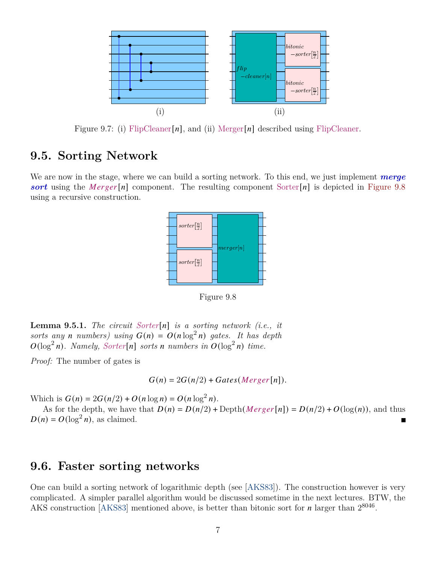<span id="page-6-0"></span>

Figure 9.7: (i) FlipCleaner [n], and (ii) Merger [n] described using FlipCleaner.

### **9.5. Sorting Network**

<span id="page-6-1"></span>We are now in the stage, where we can build a sorting network. To this end, we just implement *merge* **sort** using the Merger[n] component. The resulting component Sorter[n] is depicted in [Figure 9.8](#page-6-1) using a recursive construction.



Figure 9.8

**Lemma 9.5.1.** *The circuit Sorter*[ $n$ ] *is a sorting network (i.e., it* sorts any *n* numbers) using  $G(n) = O(n \log^2 n)$  gates. It has depth  $O(\log^2 n)$ . Namely, Sorter[n] sorts *n* numbers in  $O(\log^2 n)$  time.

*Proof:* The number of gates is

$$
G(n) = 2G(n/2) + Gates(Merger[n]).
$$

Which is  $G(n) = 2G(n/2) + O(n \log n) = O(n \log^2 n)$ .

As for the depth, we have that  $D(n) = D(n/2) + \text{Depth}(Merge[n]) = D(n/2) + O(\log(n))$ , and thus  $D(n) = O(\log^2 n)$ , as claimed.

### **9.6. Faster sorting networks**

One can build a sorting network of logarithmic depth (see [\[AKS83\]](#page-7-0)). The construction however is very complicated. A simpler parallel algorithm would be discussed sometime in the next lectures. BTW, the AKS construction [\[AKS83\]](#page-7-0) mentioned above, is better than bitonic sort for  $n$  larger than  $2^{8046}$ .